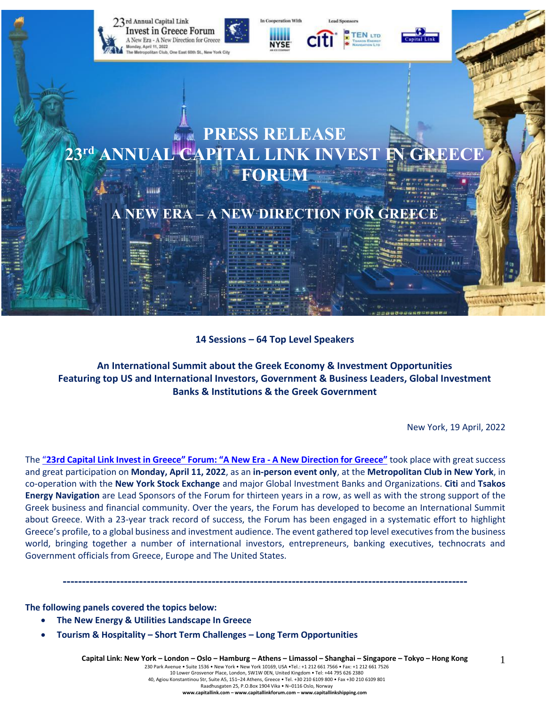

#### **14 Sessions – 64 Top Level Speakers**

**An International Summit about the Greek Economy & Investment Opportunities Featuring top US and International Investors, Government & Business Leaders, Global Investment Banks & Institutions & the Greek Government**

New York, 19 April, 2022

The "23rd Capital Link Invest in Greece" Forum: "A New Era - A New [Direction](https://forums.capitallink.com/greece/2021/) for Greece" took place with great success and great participation on **Monday, April 11, 2022**, as an **in-person event only**, at the **Metropolitan Club in New York**, in co-operation with the **New York Stock Exchange** and major Global Investment Banks and Organizations. **Citi** and **Tsakos Energy Navigation** are Lead Sponsors of the Forum for thirteen years in a row, as well as with the strong support of the Greek business and financial community. Over the years, the Forum has developed to become an International Summit about Greece. With a 23-year track record of success, the Forum has been engaged in a systematic effort to highlight Greece's profile, to a global business and investment audience. The event gathered top level executives from the business world, bringing together a number of international investors, entrepreneurs, banking executives, technocrats and Government officials from Greece, Europe and The United States.

**----------------------------------------------------------------------------------------------------------**

**The following panels covered the topics below:**

- **The New Energy & Utilities Landscape In Greece**
- **Tourism & Hospitality – Short Term Challenges – Long Term Opportunities**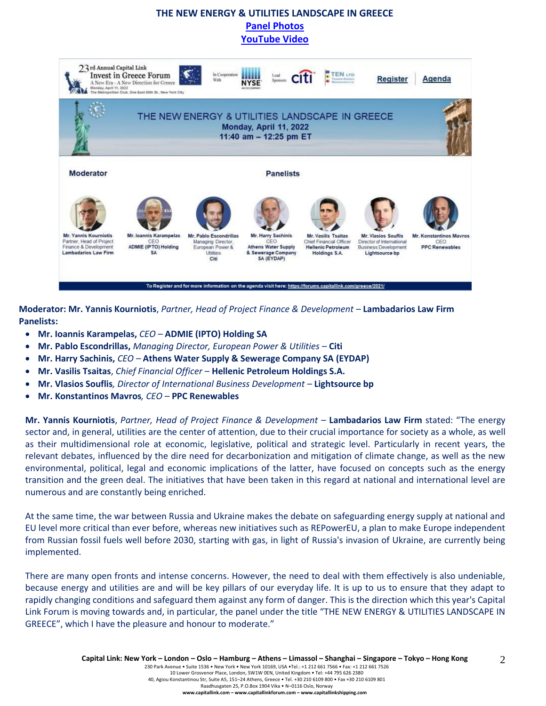# **THE NEW ENERGY & UTILITIES LANDSCAPE IN GREECE [Panel Photos](https://forums.capitallink.com/greece/2021/images/zip/THE-NEW-ENERGY-TOURISM-HOSPITALITY.zip) [YouTube Video](https://youtu.be/eGWWnyj4msc)**



**Moderator: Mr. Yannis Kourniotis**, *Partner, Head of Project Finance & Development –* **Lambadarios Law Firm Panelists:**

- **Mr. Ioannis Karampelas,** *CEO –* **ADMIE (IPTO) Holding SA**
- **Mr. Pablo Escondrillas,** *Managing Director, European Power & Utilities –* **Citi**
- **Mr. Harry Sachinis,** *CEO –* **Athens Water Supply & Sewerage Company SA (EYDAP)**
- **Mr. Vasilis Tsaitas**, *Chief Financial Officer* **Hellenic Petroleum Holdings S.A.**
- **Mr. Vlasios Souflis***, Director of International Business Development –* **Lightsource bp**
- **Mr. Konstantinos Mavros***, CEO –* **PPC Renewables**

**Mr. Yannis Kourniotis**, *Partner, Head of Project Finance & Development* – **Lambadarios Law Firm** stated: "The energy sector and, in general, utilities are the center of attention, due to their crucial importance for society as a whole, as well as their multidimensional role at economic, legislative, political and strategic level. Particularly in recent years, the relevant debates, influenced by the dire need for decarbonization and mitigation of climate change, as well as the new environmental, political, legal and economic implications of the latter, have focused on concepts such as the energy transition and the green deal. The initiatives that have been taken in this regard at national and international level are numerous and are constantly being enriched.

At the same time, the war between Russia and Ukraine makes the debate on safeguarding energy supply at national and EU level more critical than ever before, whereas new initiatives such as REPowerEU, a plan to make Europe independent from Russian fossil fuels well before 2030, starting with gas, in light of Russia's invasion of Ukraine, are currently being implemented.

There are many open fronts and intense concerns. However, the need to deal with them effectively is also undeniable, because energy and utilities are and will be key pillars of our everyday life. It is up to us to ensure that they adapt to rapidly changing conditions and safeguard them against any form of danger. This is the direction which this year's Capital Link Forum is moving towards and, in particular, the panel under the title "THE NEW ENERGY & UTILITIES LANDSCAPE IN GREECE", which I have the pleasure and honour to moderate."

 $\mathcal{D}_{\mathcal{L}}$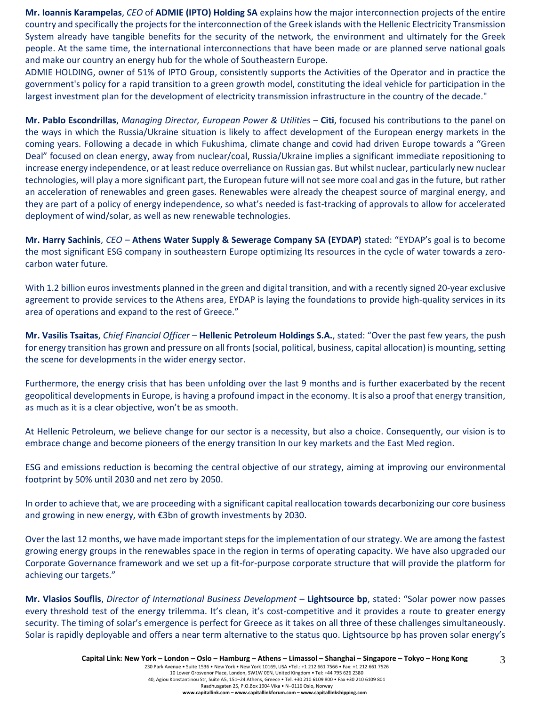**Mr. Ioannis Karampelas**, *CEO* of **ADMIE (IPTO) Holding SA** explains how the major interconnection projects of the entire country and specifically the projects for the interconnection of the Greek islands with the Hellenic Electricity Transmission System already have tangible benefits for the security of the network, the environment and ultimately for the Greek people. At the same time, the international interconnections that have been made or are planned serve national goals and make our country an energy hub for the whole of Southeastern Europe.

ADMIE HOLDING, owner of 51% of IPTO Group, consistently supports the Activities of the Operator and in practice the government's policy for a rapid transition to a green growth model, constituting the ideal vehicle for participation in the largest investment plan for the development of electricity transmission infrastructure in the country of the decade."

**Mr. Pablo Escondrillas**, *Managing Director, European Power & Utilities* – **Citi**, focused his contributions to the panel on the ways in which the Russia/Ukraine situation is likely to affect development of the European energy markets in the coming years. Following a decade in which Fukushima, climate change and covid had driven Europe towards a "Green Deal" focused on clean energy, away from nuclear/coal, Russia/Ukraine implies a significant immediate repositioning to increase energy independence, or at least reduce overreliance on Russian gas. But whilst nuclear, particularly new nuclear technologies, will play a more significant part, the European future will not see more coal and gas in the future, but rather an acceleration of renewables and green gases. Renewables were already the cheapest source of marginal energy, and they are part of a policy of energy independence, so what's needed is fast-tracking of approvals to allow for accelerated deployment of wind/solar, as well as new renewable technologies.

**Mr. Harry Sachinis**, *CEO* – **Athens Water Supply & Sewerage Company SA (EYDAP)** stated: "EYDAP's goal is to become the most significant ESG company in southeastern Europe optimizing Its resources in the cycle of water towards a zerocarbon water future.

With 1.2 billion euros investments planned in the green and digital transition, and with a recently signed 20-year exclusive agreement to provide services to the Athens area, EYDAP is laying the foundations to provide high-quality services in its area of operations and expand to the rest of Greece."

**Mr. Vasilis Tsaitas**, *Chief Financial Officer* – **Hellenic Petroleum Holdings S.A.**, stated: "Over the past few years, the push for energy transition has grown and pressure on all fronts (social, political, business, capital allocation) is mounting, setting the scene for developments in the wider energy sector.

Furthermore, the energy crisis that has been unfolding over the last 9 months and is further exacerbated by the recent geopolitical developments in Europe, is having a profound impact in the economy. It is also a proof that energy transition, as much as it is a clear objective, won't be as smooth.

At Hellenic Petroleum, we believe change for our sector is a necessity, but also a choice. Consequently, our vision is to embrace change and become pioneers of the energy transition In our key markets and the East Med region.

ESG and emissions reduction is becoming the central objective of our strategy, aiming at improving our environmental footprint by 50% until 2030 and net zero by 2050.

In order to achieve that, we are proceeding with a significant capital reallocation towards decarbonizing our core business and growing in new energy, with €3bn of growth investments by 2030.

Over the last 12 months, we have made important steps for the implementation of our strategy. We are among the fastest growing energy groups in the renewables space in the region in terms of operating capacity. We have also upgraded our Corporate Governance framework and we set up a fit-for-purpose corporate structure that will provide the platform for achieving our targets."

**Mr. Vlasios Souflis**, *Director of International Business Development –* **Lightsource bp**, stated: "Solar power now passes every threshold test of the energy trilemma. It's clean, it's cost-competitive and it provides a route to greater energy security. The timing of solar's emergence is perfect for Greece as it takes on all three of these challenges simultaneously. Solar is rapidly deployable and offers a near term alternative to the status quo. Lightsource bp has proven solar energy's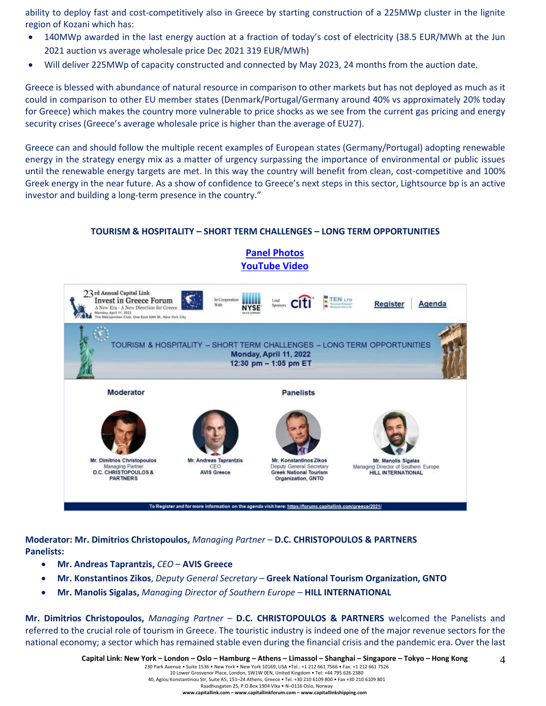ability to deploy fast and cost-competitively also in Greece by starting construction of a 225MWp cluster in the lignite region of Kozani which has:

- 140MWp awarded in the last energy auction at a fraction of today's cost of electricity (38.5 EUR/MWh at the Jun 2021 auction vs average wholesale price Dec 2021 319 EUR/MWh)
- Will deliver 225MWp of capacity constructed and connected by May 2023, 24 months from the auction date.

Greece is blessed with abundance of natural resource in comparison to other markets but has not deployed as much as it could in comparison to other EU member states (Denmark/Portugal/Germany around 40% vs approximately 20% today for Greece) which makes the country more vulnerable to price shocks as we see from the current gas pricing and energy security crises (Greece's average wholesale price is higher than the average of EU27).

Greece can and should follow the multiple recent examples of European states (Germany/Portugal) adopting renewable energy in the strategy energy mix as a matter of urgency surpassing the importance of environmental or public issues until the renewable energy targets are met. In this way the country will benefit from clean, cost-competitive and 100% Greek energy in the near future. As a show of confidence to Greece's next steps in this sector, Lightsource bp is an active investor and building a long-term presence in the country."

#### **TOURISM & HOSPITALITY – SHORT TERM CHALLENGES – LONG TERM OPPORTUNITIES**

**[Panel Photos](https://forums.capitallink.com/greece/2021/images/zip/THE-NEW-ENERGY-TOURISM-HOSPITALITY.zip)** 



**Moderator: Mr. Dimitrios Christopoulos,** *Managing Partner –* **D.C. CHRISTOPOULOS & PARTNERS Panelists:**

- **Mr. Andreas Taprantzis,** *CEO* **AVIS Greece**
- **Mr. Konstantinos Zikos**, *Deputy General Secretary*  **Greek National Tourism Organization, GNTO**
- **Mr. Manolis Sigalas,** *Managing Director of Southern Europe –* **HILL INTERNATIONAL**

**Mr. Dimitrios Christopoulos,** *Managing Partner –* **D.C. CHRISTOPOULOS & PARTNERS** welcomed the Panelists and referred to the crucial role of tourism in Greece. The touristic industry is indeed one of the major revenue sectors for the national economy; a sector which has remained stable even during the financial crisis and the pandemic era. Over the last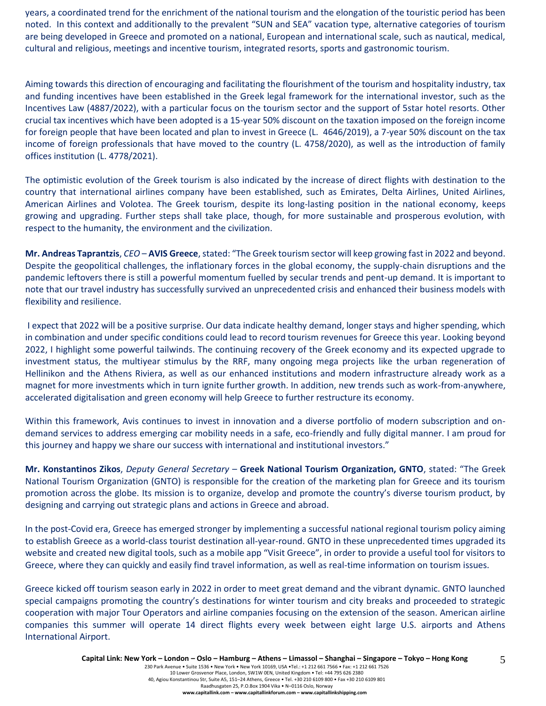years, a coordinated trend for the enrichment of the national tourism and the elongation of the touristic period has been noted. In this context and additionally to the prevalent "SUN and SEA" vacation type, alternative categories of tourism are being developed in Greece and promoted on a national, European and international scale, such as nautical, medical, cultural and religious, meetings and incentive tourism, integrated resorts, sports and gastronomic tourism.

Aiming towards this direction of encouraging and facilitating the flourishment of the tourism and hospitality industry, tax and funding incentives have been established in the Greek legal framework for the international investor, such as the Incentives Law (4887/2022), with a particular focus on the tourism sector and the support of 5star hotel resorts. Other crucial tax incentives which have been adopted is a 15-year 50% discount on the taxation imposed on the foreign income for foreign people that have been located and plan to invest in Greece (L. 4646/2019), a 7-year 50% discount on the tax income of foreign professionals that have moved to the country (L. 4758/2020), as well as the introduction of family offices institution (L. 4778/2021).

The optimistic evolution of the Greek tourism is also indicated by the increase of direct flights with destination to the country that international airlines company have been established, such as Emirates, Delta Airlines, United Airlines, American Airlines and Volotea. The Greek tourism, despite its long-lasting position in the national economy, keeps growing and upgrading. Further steps shall take place, though, for more sustainable and prosperous evolution, with respect to the humanity, the environment and the civilization.

**Mr. Andreas Taprantzis**, *CEO* – **AVIS Greece**, stated: "The Greek tourism sector will keep growing fast in 2022 and beyond. Despite the geopolitical challenges, the inflationary forces in the global economy, the supply-chain disruptions and the pandemic leftovers there is still a powerful momentum fuelled by secular trends and pent-up demand. It is important to note that our travel industry has successfully survived an unprecedented crisis and enhanced their business models with flexibility and resilience.

I expect that 2022 will be a positive surprise. Our data indicate healthy demand, longer stays and higher spending, which in combination and under specific conditions could lead to record tourism revenues for Greece this year. Looking beyond 2022, I highlight some powerful tailwinds. The continuing recovery of the Greek economy and its expected upgrade to investment status, the multiyear stimulus by the RRF, many ongoing mega projects like the urban regeneration of Hellinikon and the Athens Riviera, as well as our enhanced institutions and modern infrastructure already work as a magnet for more investments which in turn ignite further growth. In addition, new trends such as work-from-anywhere, accelerated digitalisation and green economy will help Greece to further restructure its economy.

Within this framework, Avis continues to invest in innovation and a diverse portfolio of modern subscription and ondemand services to address emerging car mobility needs in a safe, eco-friendly and fully digital manner. I am proud for this journey and happy we share our success with international and institutional investors."

**Mr. Konstantinos Zikos**, *Deputy General Secretary* – **Greek National Tourism Organization, GNTO**, stated: "The Greek National Tourism Organization (GNTO) is responsible for the creation of the marketing plan for Greece and its tourism promotion across the globe. Its mission is to organize, develop and promote the country's diverse tourism product, by designing and carrying out strategic plans and actions in Greece and abroad.

In the post-Covid era, Greece has emerged stronger by implementing a successful national regional tourism policy aiming to establish Greece as a world-class tourist destination all-year-round. GNTO in these unprecedented times upgraded its website and created new digital tools, such as a mobile app "Visit Greece", in order to provide a useful tool for visitors to Greece, where they can quickly and easily find travel information, as well as real-time information on tourism issues.

Greece kicked off tourism season early in 2022 in order to meet great demand and the vibrant dynamic. GNTO launched special campaigns promoting the country's destinations for winter tourism and city breaks and proceeded to strategic cooperation with major Tour Operators and airline companies focusing on the extension of the season. American airline companies this summer will operate 14 direct flights every week between eight large U.S. airports and Athens International Airport.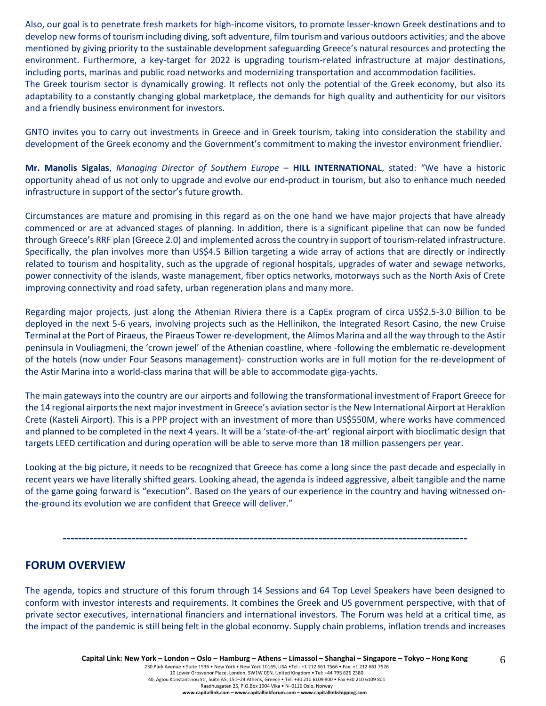Also, our goal is to penetrate fresh markets for high-income visitors, to promote lesser-known Greek destinations and to develop new forms of tourism including diving, soft adventure, film tourism and various outdoors activities; and the above mentioned by giving priority to the sustainable development safeguarding Greece's natural resources and protecting the environment. Furthermore, a key-target for 2022 is upgrading tourism-related infrastructure at major destinations, including ports, marinas and public road networks and modernizing transportation and accommodation facilities. The Greek tourism sector is dynamically growing. It reflects not only the potential of the Greek economy, but also its adaptability to a constantly changing global marketplace, the demands for high quality and authenticity for our visitors and a friendly business environment for investors.

GNTO invites you to carry out investments in Greece and in Greek tourism, taking into consideration the stability and development of the Greek economy and the Government's commitment to making the investor environment friendlier.

**Mr. Manolis Sigalas**, *Managing Director of Southern Europe* – **HILL INTERNATIONAL**, stated: "We have a historic opportunity ahead of us not only to upgrade and evolve our end-product in tourism, but also to enhance much needed infrastructure in support of the sector's future growth.

Circumstances are mature and promising in this regard as on the one hand we have major projects that have already commenced or are at advanced stages of planning. In addition, there is a significant pipeline that can now be funded through Greece's RRF plan (Greece 2.0) and implemented across the country in support of tourism-related infrastructure. Specifically, the plan involves more than US\$4.5 Billion targeting a wide array of actions that are directly or indirectly related to tourism and hospitality, such as the upgrade of regional hospitals, upgrades of water and sewage networks, power connectivity of the islands, waste management, fiber optics networks, motorways such as the North Axis of Crete improving connectivity and road safety, urban regeneration plans and many more.

Regarding major projects, just along the Athenian Riviera there is a CapEx program of circa US\$2.5-3.0 Billion to be deployed in the next 5-6 years, involving projects such as the Hellinikon, the Integrated Resort Casino, the new Cruise Terminal at the Port of Piraeus, the Piraeus Tower re-development, the Alimos Marina and all the way through to the Astir peninsula in Vouliagmeni, the 'crown jewel' of the Athenian coastline, where -following the emblematic re-development of the hotels (now under Four Seasons management)- construction works are in full motion for the re-development of the Astir Marina into a world-class marina that will be able to accommodate giga-yachts.

The main gateways into the country are our airports and following the transformational investment of Fraport Greece for the 14 regional airports the next major investment in Greece's aviation sector is the New International Airport at Heraklion Crete (Kasteli Airport). This is a PPP project with an investment of more than US\$550M, where works have commenced and planned to be completed in the next 4 years. It will be a 'state-of-the-art' regional airport with bioclimatic design that targets LEED certification and during operation will be able to serve more than 18 million passengers per year.

Looking at the big picture, it needs to be recognized that Greece has come a long since the past decade and especially in recent years we have literally shifted gears. Looking ahead, the agenda is indeed aggressive, albeit tangible and the name of the game going forward is "execution". Based on the years of our experience in the country and having witnessed onthe-ground its evolution we are confident that Greece will deliver."

**----------------------------------------------------------------------------------------------------------**

# **FORUM OVERVIEW**

The agenda, topics and structure of this forum through 14 Sessions and 64 Top Level Speakers have been designed to conform with investor interests and requirements. It combines the Greek and US government perspective, with that of private sector executives, international financiers and international investors. The Forum was held at a critical time, as the impact of the pandemic is still being felt in the global economy. Supply chain problems, inflation trends and increases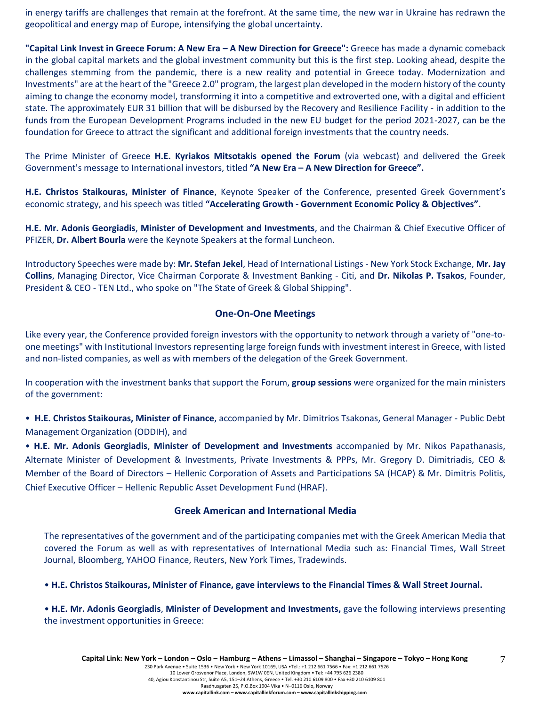in energy tariffs are challenges that remain at the forefront. At the same time, the new war in Ukraine has redrawn the geopolitical and energy map of Europe, intensifying the global uncertainty.

**"Capital Link Invest in Greece Forum: A New Era – A New Direction for Greece":** Greece has made a dynamic comeback in the global capital markets and the global investment community but this is the first step. Looking ahead, despite the challenges stemming from the pandemic, there is a new reality and potential in Greece today. Modernization and Investments" are at the heart of the "Greece 2.0" program, the largest plan developed in the modern history of the county aiming to change the economy model, transforming it into a competitive and extroverted one, with a digital and efficient state. The approximately EUR 31 billion that will be disbursed by the Recovery and Resilience Facility - in addition to the funds from the European Development Programs included in the new EU budget for the period 2021-2027, can be the foundation for Greece to attract the significant and additional foreign investments that the country needs.

The Prime Minister of Greece **H.E. Kyriakos Mitsotakis opened the Forum** (via webcast) and delivered the Greek Government's message to International investors, titled **"A New Era – A New Direction for Greece".**

**H.E. Christos Staikouras, Minister of Finance**, Keynote Speaker of the Conference, presented Greek Government's economic strategy, and his speech was titled **"Accelerating Growth - Government Economic Policy & Objectives".**

**H.E. Mr. Adonis Georgiadis**, **Minister of Development and Investments**, and the Chairman & Chief Executive Officer of PFIZER, **Dr. Albert Bourla** were the Keynote Speakers at the formal Luncheon.

Introductory Speeches were made by: **Mr. Stefan Jekel**, Head of International Listings - New York Stock Exchange, **Mr. Jay Collins**, Managing Director, Vice Chairman Corporate & Investment Banking - Citi, and **Dr. Nikolas P. Tsakos**, Founder, President & CEO - TEN Ltd., who spoke on "The State of Greek & Global Shipping".

#### **One-On-One Meetings**

Like every year, the Conference provided foreign investors with the opportunity to network through a variety of "one-toone meetings" with Institutional Investors representing large foreign funds with investment interest in Greece, with listed and non-listed companies, as well as with members of the delegation of the Greek Government.

In cooperation with the investment banks that support the Forum, **group sessions** were organized for the main ministers of the government:

• **H.E. Christos Staikouras, Minister of Finance**, accompanied by Mr. Dimitrios Tsakonas, General Manager - Public Debt Management Organization (ODDIH), and

• **H.E. Mr. Adonis Georgiadis**, **Minister of Development and Investments** accompanied by Mr. Nikos Papathanasis, Alternate Minister of Development & Investments, Private Investments & PPPs, Mr. Gregory D. Dimitriadis, CEO & Member of the Board of Directors – Hellenic Corporation of Assets and Participations SA (HCAP) & Mr. Dimitris Politis, Chief Executive Officer – Hellenic Republic Asset Development Fund (HRAF).

#### **Greek American and International Media**

The representatives of the government and of the participating companies met with the Greek American Media that covered the Forum as well as with representatives of International Media such as: Financial Times, Wall Street Journal, Bloomberg, YAHOO Finance, Reuters, New York Times, Tradewinds.

• **H.E. Christos Staikouras, Minister of Finance, gave interviews to the Financial Times & Wall Street Journal.**

• **H.E. Mr. Adonis Georgiadis**, **Minister of Development and Investments,** gave the following interviews presenting the investment opportunities in Greece: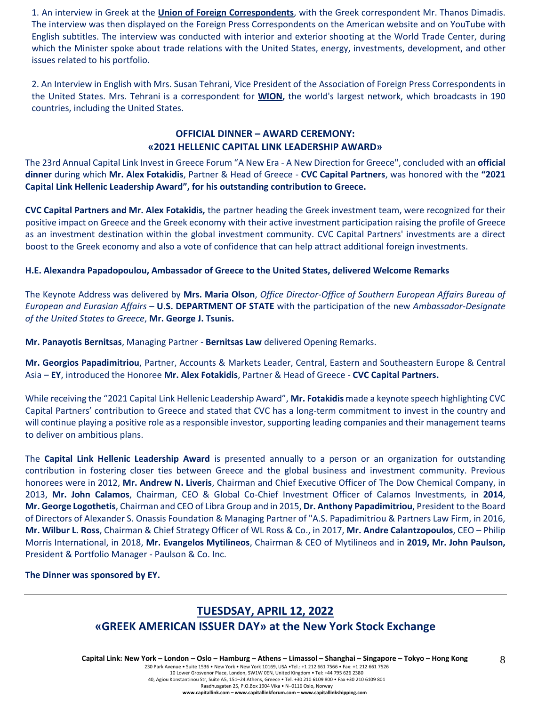1. An interview in Greek at the **Union of Foreign Correspondents**, with the Greek correspondent Mr. Thanos Dimadis. The interview was then displayed on the Foreign Press Correspondents on the American website and on YouTube with English subtitles. The interview was conducted with interior and exterior shooting at the World Trade Center, during which the Minister spoke about trade relations with the United States, energy, investments, development, and other issues related to his portfolio.

2. An Interview in English with Mrs. Susan Tehrani, Vice President of the Association of Foreign Press Correspondents in the United States. Mrs. Tehrani is a correspondent for **WION,** the world's largest network, which broadcasts in 190 countries, including the United States.

## **OFFICIAL DINNER – AWARD CEREMONY: «2021 HELLENIC CAPITAL LINK LEADERSHIP AWARD»**

The 23rd Annual Capital Link Invest in Greece Forum "A New Era - A New Direction for Greece", concluded with an **official dinner** during which **Mr. Alex Fotakidis**, Partner & Head of Greece - **CVC Capital Partners**, was honored with the **"2021 Capital Link Hellenic Leadership Award", for his outstanding contribution to Greece.**

**CVC Capital Partners and Mr. Alex Fotakidis,** the partner heading the Greek investment team, were recognized for their positive impact on Greece and the Greek economy with their active investment participation raising the profile of Greece as an investment destination within the global investment community. CVC Capital Partners' investments are a direct boost to the Greek economy and also a vote of confidence that can help attract additional foreign investments.

#### **H.E. Alexandra Papadopoulou, Ambassador of Greece to the United States, delivered Welcome Remarks**

The Keynote Address was delivered by **Mrs. Maria Olson**, *Office Director-Office of Southern European Affairs Bureau of European and Eurasian Affairs* – **U.S. DEPARTMENT OF STATE** with the participation of the new *Ambassador-Designate of the United States to Greece*, **Mr. George J. Tsunis.**

**Mr. Panayotis Bernitsas**, Managing Partner - **Bernitsas Law** delivered Opening Remarks.

**Mr. Georgios Papadimitriou**, Partner, Accounts & Markets Leader, Central, Eastern and Southeastern Europe & Central Asia – **EY**, introduced the Honoree **Mr. Alex Fotakidis**, Partner & Head of Greece - **CVC Capital Partners.** 

While receiving the "2021 Capital Link Hellenic Leadership Award", **Mr. Fotakidis** made a keynote speech highlighting CVC Capital Partners' contribution to Greece and stated that CVC has a long-term commitment to invest in the country and will continue playing a positive role as a responsible investor, supporting leading companies and their management teams to deliver on ambitious plans.

The **Capital Link Hellenic Leadership Award** is presented annually to a person or an organization for outstanding contribution in fostering closer ties between Greece and the global business and investment community. Previous honorees were in 2012, **Mr. Andrew N. Liveris**, Chairman and Chief Executive Officer of The Dow Chemical Company, in 2013, **Mr. John Calamos**, Chairman, CEO & Global Co-Chief Investment Officer of Calamos Investments, in **2014**, **Mr. George Logothetis**, Chairman and CEO of Libra Group and in 2015, **Dr. Anthony Papadimitriou**, President to the Board of Directors of Alexander S. Onassis Foundation & Managing Partner of "A.S. Papadimitriou & Partners Law Firm, in 2016, **Mr. Wilbur L. Ross**, Chairman & Chief Strategy Officer of WL Ross & Co., in 2017, **Mr. Andre Calantzopoulos**, CEO – Philip Morris International, in 2018, **Mr. Evangelos Mytilineos**, Chairman & CEO of Mytilineos and in **2019, Mr. John Paulson,** President & Portfolio Manager - Paulson & Co. Inc.

**The Dinner was sponsored by ΕΥ.**

# **TUESDSAY, APRIL 12, 2022**

# **«GREEK AMERICAN ISSUER DAY» at the New York Stock Exchange**

Capital Link: New York – London – Oslo – Hamburg – Athens – Limassol – Shanghai – Singapore – Tokyo – Hong Kong

230 Park Avenue • Suite 1536 • New York • New York 10169, USA •Tel.: +1 212 661 7566 • Fax: +1 212 661 7526 10 Lower Grosvenor Place, London, SW1W 0EN, United Kingdom • Tel: +44 795 626 2380

40, Agiou Konstantinou Str, Suite A5, 151–24 Athens, Greece • Tel. +30 210 6109 800 • Fax +30 210 6109 801

Raadhusgaten 25, P.O.Box 1904 Vika • N–0116 Oslo, Norway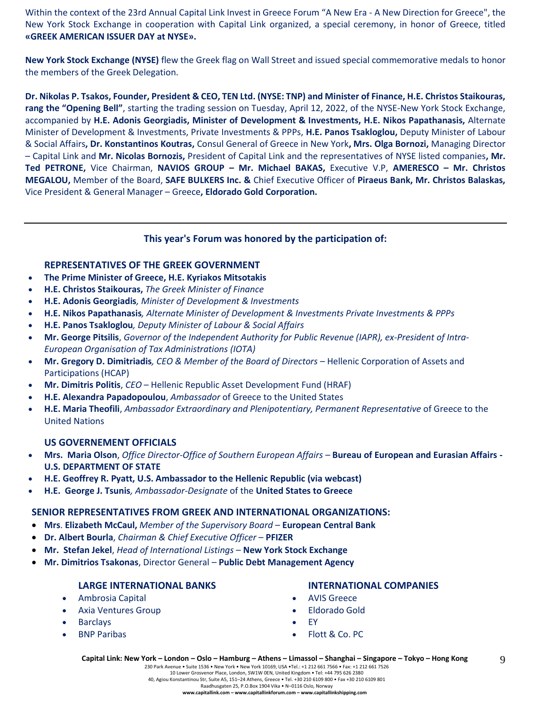Within the context of the 23rd Annual Capital Link Invest in Greece Forum "A New Era - A New Direction for Greece", the New York Stock Exchange in cooperation with Capital Link organized, a special ceremony, in honor of Greece, titled **«GREEK AMERICAN ISSUER DAY at NYSE».**

**New York Stock Exchange (NYSE)** flew the Greek flag on Wall Street and issued special commemorative medals to honor the members of the Greek Delegation.

**Dr. Nikolas P. Tsakos, Founder, President & CEO, TEN Ltd. (NYSE: TNP) and Minister of Finance, H.E. Christos Staikouras, rang the "Opening Bell"**, starting the trading session on Tuesday, April 12, 2022, of the NYSE-New York Stock Exchange, accompanied by **H.E. Adonis Georgiadis, Minister of Development & Investments, H.E. Nikos Papathanasis,** Alternate Minister of Development & Investments, Private Investments & PPPs, **H.E. Panos Tsakloglou,** Deputy Minister of Labour & Social Affairs**, Dr. Konstantinos Koutras,** Consul General of Greece in New York**, Mrs. Olga Bornozi,** Managing Director – Capital Link and **Mr. Nicolas Bornozis,** President of Capital Link and the representatives of NYSE listed companies**, Mr. Τed PETRONE,** Vice Chairman, **NAVIOS GROUP – Mr. Michael BAKAS,** Executive V.P, **AMERESCO – Mr. Christos MEGALOU,** Member of the Board, **SAFE BULKERS Inc. &** Chief Executive Officer of **Piraeus Bank, Mr. Christos Balaskas,**  Vice President & General Manager – Greece**, Eldorado Gold Corporation.**

## **This year's Forum was honored by the participation of:**

## **REPRESENTATIVES OF THE GREEK GOVERNMENT**

- **The Prime Minister of Greece, H.E. Kyriakos Mitsotakis**
- **H.E. Christos Staikouras,** *The Greek Minister of Finance*
- **H.E. Adonis Georgiadis***, Minister of Development & Investments*
- **Η.Ε. Nikos Papathanasis***, Alternate Minister of Development & Investments Private Investments & PPPs*
- **H.E. Panos Tsakloglou***, Deputy Minister of Labour & Social Affairs*
- **Mr. George Pitsilis**, *Governor of the Independent Authority for Public Revenue (IAPR), ex-President of Intra-European Organisation of Tax Administrations (IOTA)*
- **Mr. Gregory D. Dimitriadis***, CEO & Member of the Board of Directors –* Hellenic Corporation of Assets and Participations (HCAP)
- **Mr. Dimitris Politis**, *CEO* Hellenic Republic Asset Development Fund (HRAF)
- **H.E. Alexandra Papadopoulou**, *Ambassador* of Greece to the United States
- **H.E. Maria Theofili**, *Ambassador Extraordinary and Plenipotentiary, Permanent Representative* of Greece to the United Nations

#### **US GOVERNEMENT OFFICIALS**

- **Mrs. Maria Olson**, *Office Director-Office of Southern European Affairs –* **Bureau of European and Eurasian Affairs - U.S. DEPARTMENT OF STATE**
- **H.E. Geoffrey R. Pyatt, U.S. Ambassador to the Hellenic Republic (via webcast)**
- **H.E. George J. Tsunis***, Ambassador-Designate* of the **United States to Greece**

#### **SENIOR REPRESENTATIVES FROM GREEK AND INTERNATIONAL ORGANIZATIONS:**

- **Mrs**. **Elizabeth McCaul,** *Member of the Supervisory Board* **European Central Bank**
- **Dr. Albert Bourla**, *Chairman & Chief Executive Officer* **PFIZER**
- **Mr. Stefan Jekel**, *Head of International Listings* **New York Stock Exchange**
- **Mr. Dimitrios Tsakonas**, Director General **Public Debt Management Agency**

#### **LARGE INTERNATIONAL BANKS**

- Ambrosia Capital
- Axia Ventures Group
- **Barclays**
- BNP Paribas

#### **INTERNATIONAL COMPANIES**

9

- AVIS Greece
- Eldorado Gold
- EY
- Flott & Co. PC

230 Park Avenue • Suite 1536 • New York • New York 10169, USA •Tel.: +1 212 661 7566 • Fax: +1 212 661 7526 10 Lower Grosvenor Place, London, SW1W 0EN, United Kingdom • Tel: +44 795 626 2380 40, Agiou Konstantinou Str, Suite A5, 151–24 Athens, Greece • Tel. +30 210 6109 800 • Fax +30 210 6109 801 Raadhusgaten 25, P.O.Box 1904 Vika • N–0116 Oslo, Norway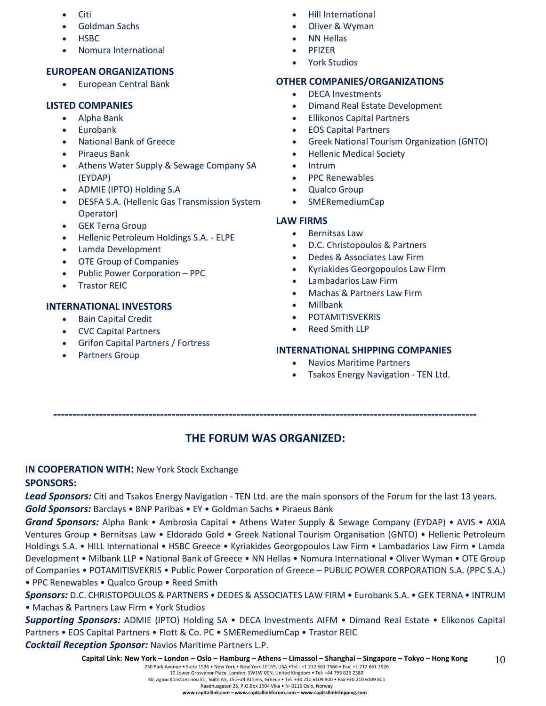- Citi
- Goldman Sachs
- HSBC
- Nomura International

# **EUROPEAN ORGANIZATIONS**

• European Central Bank

# **LISTED COMPANIES**

- Alpha Bank
- Eurobank
- National Bank of Greece
- Piraeus Bank
- Athens Water Supply & Sewage Company SA (EYDAP)
- ADMIE (IPTO) Holding S.A
- DESFA S.A. (Hellenic Gas Transmission System Operator)
- **GEK Terna Group**
- Hellenic Petroleum Holdings S.A. ELPE
- Lamda Development
- OTE Group of Companies
- Public Power Corporation PPC
- **Trastor REIC**

# **INTERNATIONAL INVESTORS**

- Bain Capital Credit
- CVC Capital Partners
- Grifon Capital Partners / Fortress
- Partners Group
- Hill International
- Oliver & Wyman
- NN Hellas
- PFIZER
- York Studios

# **OTHER COMPANIES/ORGANIZATIONS**

- DECA Investments
- Dimand Real Estate Development
- Ellikonos Capital Partners
- EOS Capital Partners
- Greek National Tourism Organization (GNTO)
- Hellenic Medical Society
- Intrum
- PPC Renewables
- Qualco Group
- SMERemediumCap

# **LAW FIRMS**

- Bernitsas Law
- D.C. Christopoulos & Partners
- Dedes & Associates Law Firm
- Kyriakides Georgopoulos Law Firm
- Lambadarios Law Firm
- Machas & Partners Law Firm
- Millbank
- **POTAMITISVEKRIS**
- Reed Smith LLP

# **INTERNATIONAL SHIPPING COMPANIES**

- Navios Maritime Partners
- Tsakos Energy Navigation TEN Ltd.

**---------------------------------------------------------------------------------------------------------------**

# **THE FORUM WAS ORGANIZED:**

# **IN COOPERATION WITH:** New York Stock Exchange

# **SPONSORS:**

*Lead Sponsors:* Citi and Tsakos Energy Navigation - TEN Ltd. are the main sponsors of the Forum for the last 13 years.

*Gold Sponsors:* Barclays • BNP Paribas • EY • Goldman Sachs • Piraeus Bank

*Grand Sponsors:* Alpha Bank • Ambrosia Capital • Athens Water Supply & Sewage Company (EYDAP) • AVIS • AXIA Ventures Group • Bernitsas Law • Eldorado Gold • Greek National Tourism Organisation (GNTO) • Hellenic Petroleum Holdings S.A. • HILL International • HSBC Greece • Kyriakides Georgopoulos Law Firm • Lambadarios Law Firm • Lamda Development • Milbank LLP • National Bank of Greece • NN Hellas • Nomura International • Oliver Wyman • OTE Group of Companies • POTAMITISVEKRIS • Public Power Corporation of Greece – PUBLIC POWER CORPORATION S.A. (PPC S.A.) • PPC Renewables • Qualco Group • Reed Smith

*Sponsors:* D.C. CHRISTOPOULOS & PARTNERS • DEDES & ASSOCIATES LAW FIRM • Eurobank S.A. • GEK TERNA • INTRUM • Machas & Partners Law Firm • York Studios

*Supporting Sponsors:* ADMIE (IPTO) Holding SA • DECA Investments AIFM • Dimand Real Estate • Elikonos Capital Partners • EOS Capital Partners • Flott & Co. PC • SMERemediumCap • Trastor REIC

*Cocktail Reception Sponsor:* Navios Maritime Partners L.P.

#### 230 Park Avenue • Suite 1536 • New York • New York 10169, USA •Tel.: +1 212 661 7566 • Fax: +1 212 661 7526 10 Lower Grosvenor Place, London, SW1W 0EN, United Kingdom • Tel: +44 795 626 2380

40, Agiou Konstantinou Str, Suite A5, 151–24 Athens, Greece • Tel. +30 210 6109 800 • Fax +30 210 6109 801

Raadhusgaten 25, P.O.Box 1904 Vika • N–0116 Oslo, Norway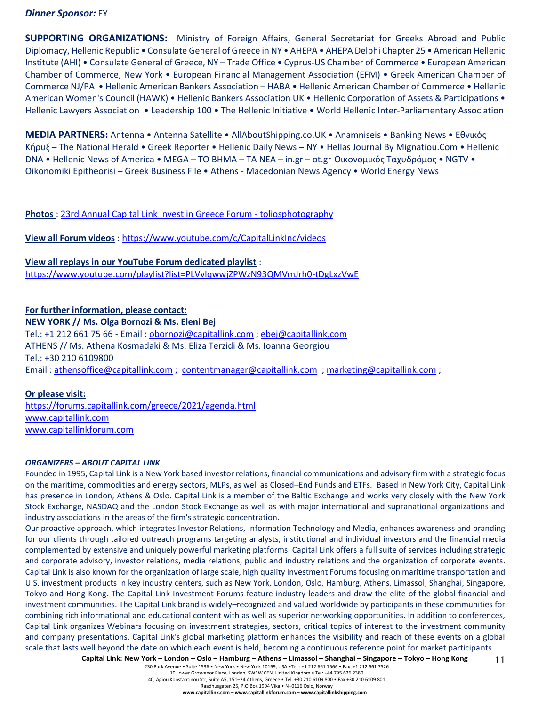#### *Dinner Sponsor:* EY

**SUPPORTING ORGANIZATIONS:** Ministry of Foreign Affairs, General Secretariat for Greeks Abroad and Public Diplomacy, Hellenic Republic • Consulate General of Greece in NY • AHEPA • AHEPA Delphi Chapter 25 • American Hellenic Institute (AHI) • Consulate General of Greece, NY – Trade Office • Cyprus-US Chamber of Commerce • European American Chamber of Commerce, New York • European Financial Management Association (EFM) • Greek American Chamber of Commerce NJ/PA • Hellenic American Bankers Association – HABA • Hellenic American Chamber of Commerce • Hellenic American Women's Council (HAWK) • Hellenic Bankers Association UK • Hellenic Corporation of Assets & Participations • Hellenic Lawyers Association • Leadership 100 • The Hellenic Initiative • World Hellenic Inter-Parliamentary Association

**MEDIA PARTNERS:** Antenna • Antenna Satellite • AllAboutShipping.co.UK • Anamniseis • Banking News • Εθνικός Κήρυξ – The National Herald • Greek Reporter • Hellenic Daily News – NY • Hellas Journal By Mignatiou.Com • Hellenic DNA • Hellenic News of America • MEGA – TO BHMA – TA NEA – in.gr – ot.gr-Οικονομικός Ταχυδρόμος • NGTV • Oikonomiki Epitheorisi – Greek Business File • Athens - Macedonian News Agency • World Energy News

#### **Photos** : [23rd Annual Capital Link Invest in Greece Forum -](https://www.toliosphotography.com/ToliosEvents/CAPITAL-LINK-/23rd-Annual-Capital-Link-New-York-City/n-RHX6QD/) toliosphotography

**View all Forum videos** :<https://www.youtube.com/c/CapitalLinkInc/videos>

**View all replays in our YouTube Forum dedicated playlist** : <https://www.youtube.com/playlist?list=PLVvlqwwjZPWzN93QMVmJrh0-tDgLxzVwE>

# **For further information, please contact: NEW YORK // Ms. Olga Bornozi & Ms. Eleni Bej**  Tel.: +1 212 661 75 66 - Email : [obornozi@capitallink.com](mailto:obornozi@capitallink.com) [; ebej@capitallink.com](mailto:ebej@capitallink.com) ATHENS // Ms. Athena Kosmadaki & Ms. Eliza Terzidi & Ms. Ioanna Georgiou Tel.: +30 210 6109800 Email : [athensoffice@capitallink.com](mailto:athensoffice@capitallink.com) ; [contentmanager@capitallink.com](mailto:contentmanager@capitallink.com) ; marketing@capitallink.com ;

#### **Or please visit:**

<https://forums.capitallink.com/greece/2021/agenda.html> [www.capitallink.com](http://www.capitallink.com/)  [www.capitallinkforum.com](http://www.capitallinkforum.com/)

#### *ORGANIZERS – ABOUT CAPITAL LINK*

Founded in 1995, Capital Link is a New York based investor relations, financial communications and advisory firm with a strategic focus on the maritime, commodities and energy sectors, MLPs, as well as Closed–End Funds and ETFs. Based in New York City, Capital Link has presence in London, Athens & Oslo. Capital Link is a member of the Baltic Exchange and works very closely with the New York Stock Exchange, NASDAQ and the London Stock Exchange as well as with major international and supranational organizations and industry associations in the areas of the firm's strategic concentration.

Our proactive approach, which integrates Investor Relations, Information Technology and Media, enhances awareness and branding for our clients through tailored outreach programs targeting analysts, institutional and individual investors and the financial media complemented by extensive and uniquely powerful marketing platforms. Capital Link offers a full suite of services including strategic and corporate advisory, investor relations, media relations, public and industry relations and the organization of corporate events. Capital Link is also known for the organization of large scale, high quality Investment Forums focusing on maritime transportation and U.S. investment products in key industry centers, such as New York, London, Oslo, Hamburg, Athens, Limassol, Shanghai, Singapore, Tokyo and Hong Kong. The Capital Link Investment Forums feature industry leaders and draw the elite of the global financial and investment communities. The Capital Link brand is widely–recognized and valued worldwide by participants in these communities for combining rich informational and educational content with as well as superior networking opportunities. In addition to conferences, Capital Link organizes Webinars focusing on investment strategies, sectors, critical topics of interest to the investment community and company presentations. Capital Link's global marketing platform enhances the visibility and reach of these events on a global scale that lasts well beyond the date on which each event is held, becoming a continuous reference point for market participants.

Capital Link: New York - London - Oslo - Hamburg - Athens - Limassol - Shanghai - Singapore - Tokyo - Hong Kong 11